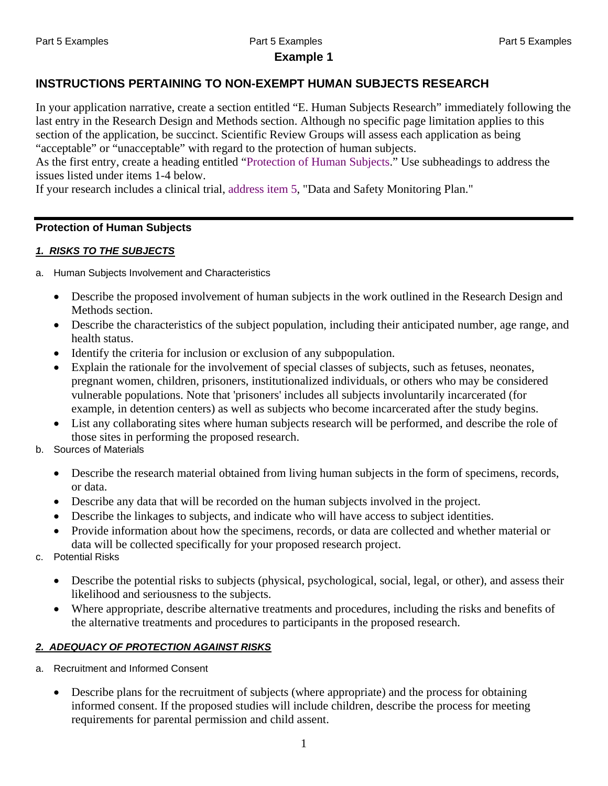#### Part 5 Examples Part 5 Examples Part 5 Examples **Example 1**

#### **INSTRUCTIONS PERTAINING TO NON-EXEMPT HUMAN SUBJECTS RESEARCH**

In your application narrative, create a section entitled "E. Human Subjects Research" immediately following the last entry in the Research Design and Methods section. Although no specific page limitation applies to this section of the application, be succinct. Scientific Review Groups will assess each application as being "acceptable" or "unacceptable" with regard to the protection of human subjects.

As the first entry, create a heading entitled "Protection of Human Subjects." Use subheadings to address the issues listed under items 1-4 below.

If your research includes a clinical trial, address item 5, "Data and Safety Monitoring Plan."

#### **Protection of Human Subjects**

#### *1. RISKS TO THE SUBJECTS*

- a. Human Subjects Involvement and Characteristics
	- Describe the proposed involvement of human subjects in the work outlined in the Research Design and Methods section.
	- Describe the characteristics of the subject population, including their anticipated number, age range, and health status.
	- Identify the criteria for inclusion or exclusion of any subpopulation.
	- Explain the rationale for the involvement of special classes of subjects, such as fetuses, neonates, pregnant women, children, prisoners, institutionalized individuals, or others who may be considered vulnerable populations. Note that 'prisoners' includes all subjects involuntarily incarcerated (for example, in detention centers) as well as subjects who become incarcerated after the study begins.
	- List any collaborating sites where human subjects research will be performed, and describe the role of those sites in performing the proposed research.
- b. Sources of Materials
	- Describe the research material obtained from living human subjects in the form of specimens, records, or data.
	- Describe any data that will be recorded on the human subjects involved in the project.
	- Describe the linkages to subjects, and indicate who will have access to subject identities.
	- Provide information about how the specimens, records, or data are collected and whether material or data will be collected specifically for your proposed research project.
- c. Potential Risks
	- Describe the potential risks to subjects (physical, psychological, social, legal, or other), and assess their likelihood and seriousness to the subjects.
	- Where appropriate, describe alternative treatments and procedures, including the risks and benefits of the alternative treatments and procedures to participants in the proposed research.

#### *2. ADEQUACY OF PROTECTION AGAINST RISKS*

- a. Recruitment and Informed Consent
	- Describe plans for the recruitment of subjects (where appropriate) and the process for obtaining informed consent. If the proposed studies will include children, describe the process for meeting requirements for parental permission and child assent.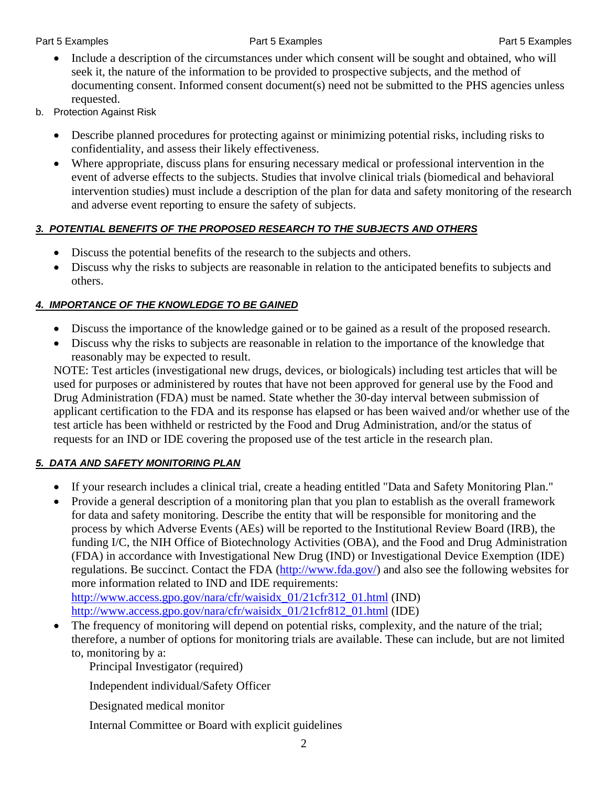- Include a description of the circumstances under which consent will be sought and obtained, who will seek it, the nature of the information to be provided to prospective subjects, and the method of documenting consent. Informed consent document(s) need not be submitted to the PHS agencies unless requested.
- b. Protection Against Risk
	- Describe planned procedures for protecting against or minimizing potential risks, including risks to confidentiality, and assess their likely effectiveness.
	- Where appropriate, discuss plans for ensuring necessary medical or professional intervention in the event of adverse effects to the subjects. Studies that involve clinical trials (biomedical and behavioral intervention studies) must include a description of the plan for data and safety monitoring of the research and adverse event reporting to ensure the safety of subjects.

### *3. POTENTIAL BENEFITS OF THE PROPOSED RESEARCH TO THE SUBJECTS AND OTHERS*

- Discuss the potential benefits of the research to the subjects and others.
- Discuss why the risks to subjects are reasonable in relation to the anticipated benefits to subjects and others.

### *4. IMPORTANCE OF THE KNOWLEDGE TO BE GAINED*

- Discuss the importance of the knowledge gained or to be gained as a result of the proposed research.
- Discuss why the risks to subjects are reasonable in relation to the importance of the knowledge that reasonably may be expected to result.

NOTE: Test articles (investigational new drugs, devices, or biologicals) including test articles that will be used for purposes or administered by routes that have not been approved for general use by the Food and Drug Administration (FDA) must be named. State whether the 30-day interval between submission of applicant certification to the FDA and its response has elapsed or has been waived and/or whether use of the test article has been withheld or restricted by the Food and Drug Administration, and/or the status of requests for an IND or IDE covering the proposed use of the test article in the research plan.

### *5. DATA AND SAFETY MONITORING PLAN*

- If your research includes a clinical trial, create a heading entitled "Data and Safety Monitoring Plan."
- Provide a general description of a monitoring plan that you plan to establish as the overall framework for data and safety monitoring. Describe the entity that will be responsible for monitoring and the process by which Adverse Events (AEs) will be reported to the Institutional Review Board (IRB), the funding I/C, the NIH Office of Biotechnology Activities (OBA), and the Food and Drug Administration (FDA) in accordance with Investigational New Drug (IND) or Investigational Device Exemption (IDE) regulations. Be succinct. Contact the FDA (<http://www.fda.gov/>) and also see the following websites for more information related to IND and IDE requirements:

[http://www.access.gpo.gov/nara/cfr/waisidx\\_01/21cfr312\\_01.html](http://www.access.gpo.gov/nara/cfr/waisidx_01/21cfr312_01.html) (IND) [http://www.access.gpo.gov/nara/cfr/waisidx\\_01/21cfr812\\_01.html](http://www.access.gpo.gov/nara/cfr/waisidx_01/21cfr812_01.html) (IDE)

• The frequency of monitoring will depend on potential risks, complexity, and the nature of the trial; therefore, a number of options for monitoring trials are available. These can include, but are not limited to, monitoring by a:

Principal Investigator (required)

Independent individual/Safety Officer

Designated medical monitor

Internal Committee or Board with explicit guidelines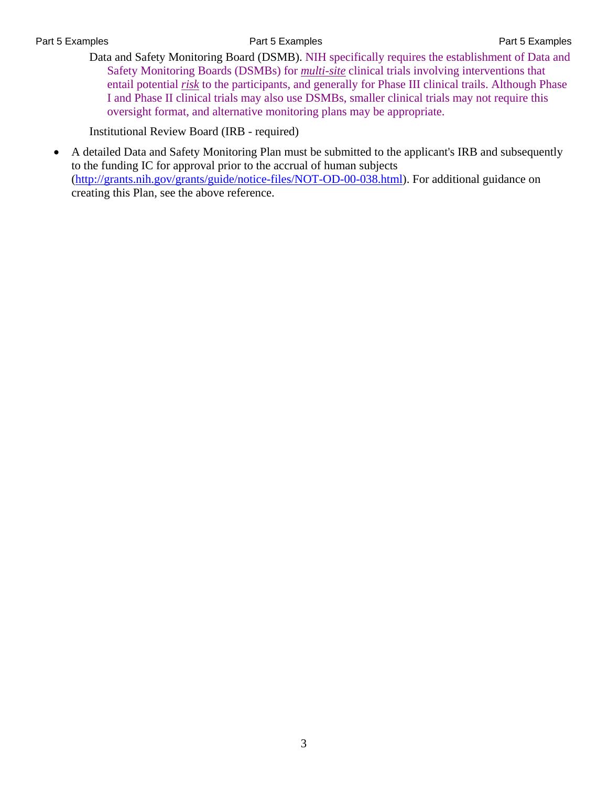Part 5 Examples **Part 5 Examples** Part 5 Examples **Part 5 Examples** Part 5 Examples

Data and Safety Monitoring Board (DSMB). NIH specifically requires the establishment of Data and Safety Monitoring Boards (DSMBs) for *multi-site* clinical trials involving interventions that entail potential *risk* to the participants, and generally for Phase III clinical trails. Although Phase I and Phase II clinical trials may also use DSMBs, smaller clinical trials may not require this oversight format, and alternative monitoring plans may be appropriate.

Institutional Review Board (IRB - required)

 A detailed Data and Safety Monitoring Plan must be submitted to the applicant's IRB and subsequently to the funding IC for approval prior to the accrual of human subjects ([http://grants.nih.gov/grants/guide/notice-files/NOT-OD-00-038.html\)](http://grants.nih.gov/grants/guide/notice-files/NOT-OD-00-038.html). For additional guidance on creating this Plan, see the above reference.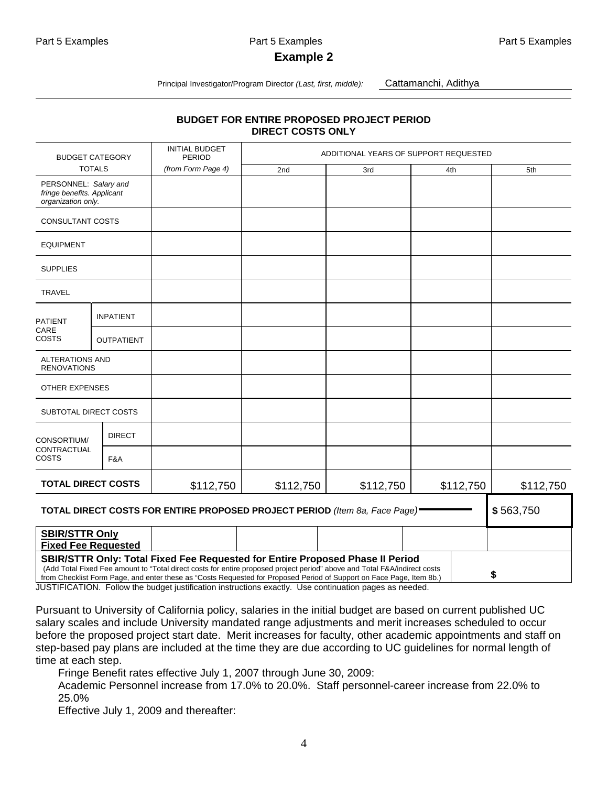#### **Example 2**

Principal Investigator/Program Director *(Last, first, middle):* Cattamanchi, Adithya

#### **BUDGET FOR ENTIRE PROPOSED PROJECT PERIOD DIRECT COSTS ONLY**

| <b>BUDGET CATEGORY</b><br><b>TOTALS</b>                                   |                   | <b>INITIAL BUDGET</b><br><b>PERIOD</b>                                                                                                                                                                                                                                                                                             | ADDITIONAL YEARS OF SUPPORT REQUESTED |           |           |           |  |
|---------------------------------------------------------------------------|-------------------|------------------------------------------------------------------------------------------------------------------------------------------------------------------------------------------------------------------------------------------------------------------------------------------------------------------------------------|---------------------------------------|-----------|-----------|-----------|--|
|                                                                           |                   | (from Form Page 4)                                                                                                                                                                                                                                                                                                                 | 2nd                                   | 3rd       | 4th       | 5th       |  |
| PERSONNEL: Salary and<br>fringe benefits. Applicant<br>organization only. |                   |                                                                                                                                                                                                                                                                                                                                    |                                       |           |           |           |  |
| CONSULTANT COSTS                                                          |                   |                                                                                                                                                                                                                                                                                                                                    |                                       |           |           |           |  |
| <b>EQUIPMENT</b>                                                          |                   |                                                                                                                                                                                                                                                                                                                                    |                                       |           |           |           |  |
| <b>SUPPLIES</b>                                                           |                   |                                                                                                                                                                                                                                                                                                                                    |                                       |           |           |           |  |
| <b>TRAVEL</b>                                                             |                   |                                                                                                                                                                                                                                                                                                                                    |                                       |           |           |           |  |
| <b>PATIENT</b><br>CARE<br>COSTS                                           | <b>INPATIENT</b>  |                                                                                                                                                                                                                                                                                                                                    |                                       |           |           |           |  |
|                                                                           | <b>OUTPATIENT</b> |                                                                                                                                                                                                                                                                                                                                    |                                       |           |           |           |  |
| <b>ALTERATIONS AND</b><br><b>RENOVATIONS</b>                              |                   |                                                                                                                                                                                                                                                                                                                                    |                                       |           |           |           |  |
| <b>OTHER EXPENSES</b>                                                     |                   |                                                                                                                                                                                                                                                                                                                                    |                                       |           |           |           |  |
| SUBTOTAL DIRECT COSTS                                                     |                   |                                                                                                                                                                                                                                                                                                                                    |                                       |           |           |           |  |
| CONSORTIUM/<br>CONTRACTUAL<br>COSTS                                       | <b>DIRECT</b>     |                                                                                                                                                                                                                                                                                                                                    |                                       |           |           |           |  |
|                                                                           | F&A               |                                                                                                                                                                                                                                                                                                                                    |                                       |           |           |           |  |
| <b>TOTAL DIRECT COSTS</b>                                                 |                   | \$112,750                                                                                                                                                                                                                                                                                                                          | \$112,750                             | \$112,750 | \$112,750 | \$112,750 |  |
|                                                                           |                   | TOTAL DIRECT COSTS FOR ENTIRE PROPOSED PROJECT PERIOD (Item 8a, Face Page)                                                                                                                                                                                                                                                         |                                       |           |           | \$563,750 |  |
| <b>SBIR/STTR Only</b><br><b>Fixed Fee Requested</b>                       |                   |                                                                                                                                                                                                                                                                                                                                    |                                       |           |           |           |  |
|                                                                           |                   | SBIR/STTR Only: Total Fixed Fee Requested for Entire Proposed Phase II Period<br>(Add Total Fixed Fee amount to "Total direct costs for entire proposed project period" above and Total F&A/indirect costs<br>from Checklist Form Page, and enter these as "Costs Requested for Proposed Period of Support on Face Page, Item 8b.) |                                       |           |           | \$        |  |

JUSTIFICATION. Follow the budget justification instructions exactly. Use continuation pages as needed.

Pursuant to University of California policy, salaries in the initial budget are based on current published UC salary scales and include University mandated range adjustments and merit increases scheduled to occur before the proposed project start date. Merit increases for faculty, other academic appointments and staff on step-based pay plans are included at the time they are due according to UC guidelines for normal length of time at each step.

Fringe Benefit rates effective July 1, 2007 through June 30, 2009:

Academic Personnel increase from 17.0% to 20.0%. Staff personnel-career increase from 22.0% to 25.0%

Effective July 1, 2009 and thereafter: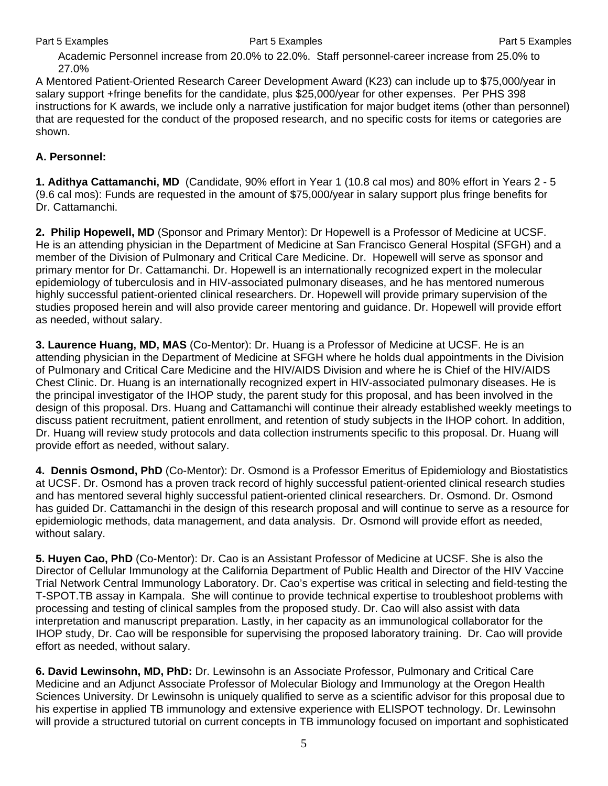Academic Personnel increase from 20.0% to 22.0%. Staff personnel-career increase from 25.0% to 27.0%

A Mentored Patient-Oriented Research Career Development Award (K23) can include up to \$75,000/year in salary support +fringe benefits for the candidate, plus \$25,000/year for other expenses. Per PHS 398 instructions for K awards, we include only a narrative justification for major budget items (other than personnel) that are requested for the conduct of the proposed research, and no specific costs for items or categories are shown.

#### **A. Personnel:**

**1. Adithya Cattamanchi, MD** (Candidate, 90% effort in Year 1 (10.8 cal mos) and 80% effort in Years 2 - 5 (9.6 cal mos): Funds are requested in the amount of \$75,000/year in salary support plus fringe benefits for Dr. Cattamanchi.

**2. Philip Hopewell, MD** (Sponsor and Primary Mentor): Dr Hopewell is a Professor of Medicine at UCSF. He is an attending physician in the Department of Medicine at San Francisco General Hospital (SFGH) and a member of the Division of Pulmonary and Critical Care Medicine. Dr. Hopewell will serve as sponsor and primary mentor for Dr. Cattamanchi. Dr. Hopewell is an internationally recognized expert in the molecular epidemiology of tuberculosis and in HIV-associated pulmonary diseases, and he has mentored numerous highly successful patient-oriented clinical researchers. Dr. Hopewell will provide primary supervision of the studies proposed herein and will also provide career mentoring and guidance. Dr. Hopewell will provide effort as needed, without salary.

**3. Laurence Huang, MD, MAS** (Co-Mentor): Dr. Huang is a Professor of Medicine at UCSF. He is an attending physician in the Department of Medicine at SFGH where he holds dual appointments in the Division of Pulmonary and Critical Care Medicine and the HIV/AIDS Division and where he is Chief of the HIV/AIDS Chest Clinic. Dr. Huang is an internationally recognized expert in HIV-associated pulmonary diseases. He is the principal investigator of the IHOP study, the parent study for this proposal, and has been involved in the design of this proposal. Drs. Huang and Cattamanchi will continue their already established weekly meetings to discuss patient recruitment, patient enrollment, and retention of study subjects in the IHOP cohort. In addition, Dr. Huang will review study protocols and data collection instruments specific to this proposal. Dr. Huang will provide effort as needed, without salary.

**4. Dennis Osmond, PhD** (Co-Mentor): Dr. Osmond is a Professor Emeritus of Epidemiology and Biostatistics at UCSF. Dr. Osmond has a proven track record of highly successful patient-oriented clinical research studies and has mentored several highly successful patient-oriented clinical researchers. Dr. Osmond. Dr. Osmond has guided Dr. Cattamanchi in the design of this research proposal and will continue to serve as a resource for epidemiologic methods, data management, and data analysis. Dr. Osmond will provide effort as needed, without salary.

**5. Huyen Cao, PhD** (Co-Mentor): Dr. Cao is an Assistant Professor of Medicine at UCSF. She is also the Director of Cellular Immunology at the California Department of Public Health and Director of the HIV Vaccine Trial Network Central Immunology Laboratory. Dr. Cao's expertise was critical in selecting and field-testing the T-SPOT.TB assay in Kampala. She will continue to provide technical expertise to troubleshoot problems with processing and testing of clinical samples from the proposed study. Dr. Cao will also assist with data interpretation and manuscript preparation. Lastly, in her capacity as an immunological collaborator for the IHOP study, Dr. Cao will be responsible for supervising the proposed laboratory training. Dr. Cao will provide effort as needed, without salary.

**6. David Lewinsohn, MD, PhD:** Dr. Lewinsohn is an Associate Professor, Pulmonary and Critical Care Medicine and an Adjunct Associate Professor of Molecular Biology and Immunology at the Oregon Health Sciences University. Dr Lewinsohn is uniquely qualified to serve as a scientific advisor for this proposal due to his expertise in applied TB immunology and extensive experience with ELISPOT technology. Dr. Lewinsohn will provide a structured tutorial on current concepts in TB immunology focused on important and sophisticated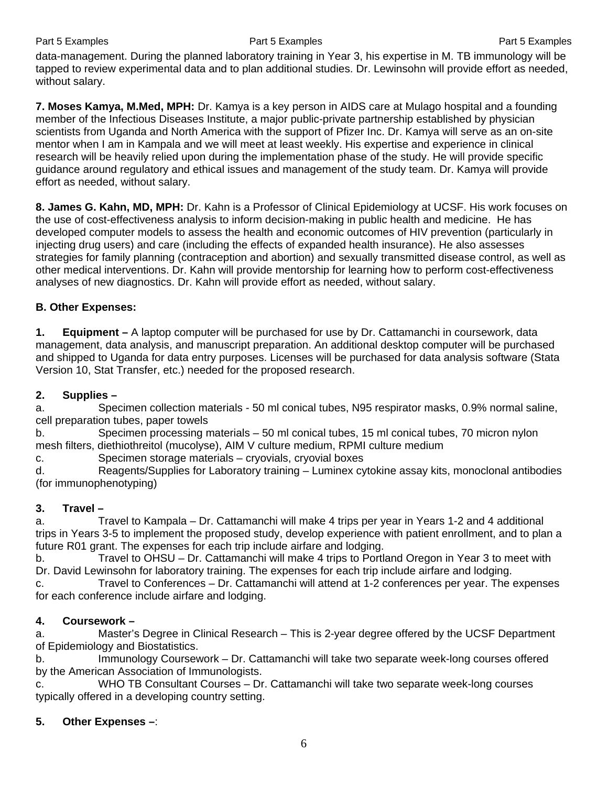Part 5 Examples **Part 5 Examples** Part 5 Examples **Part 5 Examples** Part 5 Examples

data-management. During the planned laboratory training in Year 3, his expertise in M. TB immunology will be tapped to review experimental data and to plan additional studies. Dr. Lewinsohn will provide effort as needed, without salary.

**7. Moses Kamya, M.Med, MPH:** Dr. Kamya is a key person in AIDS care at Mulago hospital and a founding member of the Infectious Diseases Institute, a major public-private partnership established by physician scientists from Uganda and North America with the support of Pfizer Inc. Dr. Kamya will serve as an on-site mentor when I am in Kampala and we will meet at least weekly. His expertise and experience in clinical research will be heavily relied upon during the implementation phase of the study. He will provide specific guidance around regulatory and ethical issues and management of the study team. Dr. Kamya will provide effort as needed, without salary.

**8. James G. Kahn, MD, MPH:** Dr. Kahn is a Professor of Clinical Epidemiology at UCSF. His work focuses on the use of cost-effectiveness analysis to inform decision-making in public health and medicine. He has developed computer models to assess the health and economic outcomes of HIV prevention (particularly in injecting drug users) and care (including the effects of expanded health insurance). He also assesses strategies for family planning (contraception and abortion) and sexually transmitted disease control, as well as other medical interventions. Dr. Kahn will provide mentorship for learning how to perform cost-effectiveness analyses of new diagnostics. Dr. Kahn will provide effort as needed, without salary.

#### **B. Other Expenses:**

**1. Equipment –** A laptop computer will be purchased for use by Dr. Cattamanchi in coursework, data management, data analysis, and manuscript preparation. An additional desktop computer will be purchased and shipped to Uganda for data entry purposes. Licenses will be purchased for data analysis software (Stata Version 10, Stat Transfer, etc.) needed for the proposed research.

#### **2. Supplies –**

a. Specimen collection materials - 50 ml conical tubes, N95 respirator masks, 0.9% normal saline, cell preparation tubes, paper towels

b. Specimen processing materials – 50 ml conical tubes, 15 ml conical tubes, 70 micron nylon mesh filters, diethiothreitol (mucolyse), AIM V culture medium, RPMI culture medium

c. Specimen storage materials – cryovials, cryovial boxes

d. Reagents/Supplies for Laboratory training – Luminex cytokine assay kits, monoclonal antibodies (for immunophenotyping)

### **3. Travel –**

a. Travel to Kampala – Dr. Cattamanchi will make 4 trips per year in Years 1-2 and 4 additional trips in Years 3-5 to implement the proposed study, develop experience with patient enrollment, and to plan a future R01 grant. The expenses for each trip include airfare and lodging.

b. Travel to OHSU – Dr. Cattamanchi will make 4 trips to Portland Oregon in Year 3 to meet with Dr. David Lewinsohn for laboratory training. The expenses for each trip include airfare and lodging.

c. Travel to Conferences – Dr. Cattamanchi will attend at 1-2 conferences per year. The expenses for each conference include airfare and lodging.

#### **4. Coursework –**

a. Master's Degree in Clinical Research – This is 2-year degree offered by the UCSF Department of Epidemiology and Biostatistics.

b. Immunology Coursework – Dr. Cattamanchi will take two separate week-long courses offered by the American Association of Immunologists.

c. WHO TB Consultant Courses – Dr. Cattamanchi will take two separate week-long courses typically offered in a developing country setting.

#### **5. Other Expenses –**: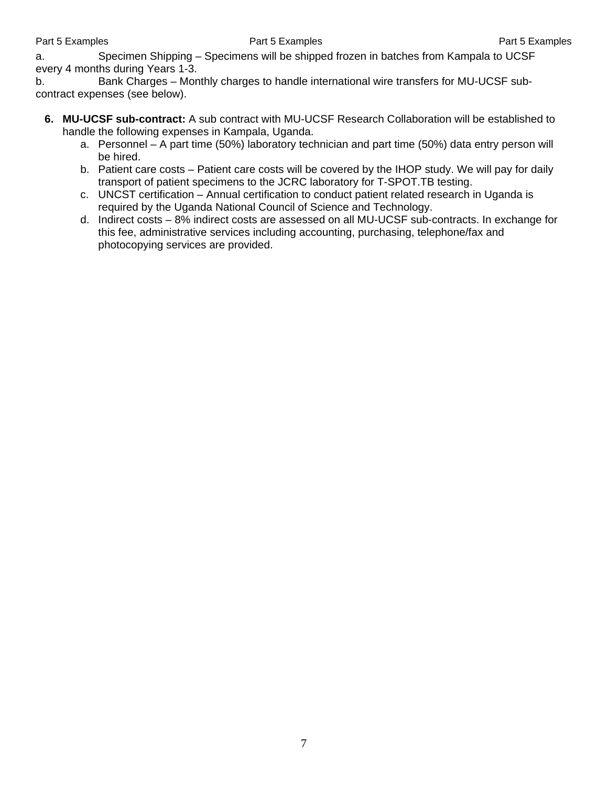a. Specimen Shipping – Specimens will be shipped frozen in batches from Kampala to UCSF every 4 months during Years 1-3.

b. Bank Charges – Monthly charges to handle international wire transfers for MU-UCSF subcontract expenses (see below).

- **6. MU-UCSF sub-contract:** A sub contract with MU-UCSF Research Collaboration will be established to handle the following expenses in Kampala, Uganda.
	- a. Personnel A part time (50%) laboratory technician and part time (50%) data entry person will be hired.
	- b. Patient care costs Patient care costs will be covered by the IHOP study. We will pay for daily transport of patient specimens to the JCRC laboratory for T-SPOT.TB testing.
	- c. UNCST certification Annual certification to conduct patient related research in Uganda is required by the Uganda National Council of Science and Technology.
	- d. Indirect costs 8% indirect costs are assessed on all MU-UCSF sub-contracts. In exchange for this fee, administrative services including accounting, purchasing, telephone/fax and photocopying services are provided.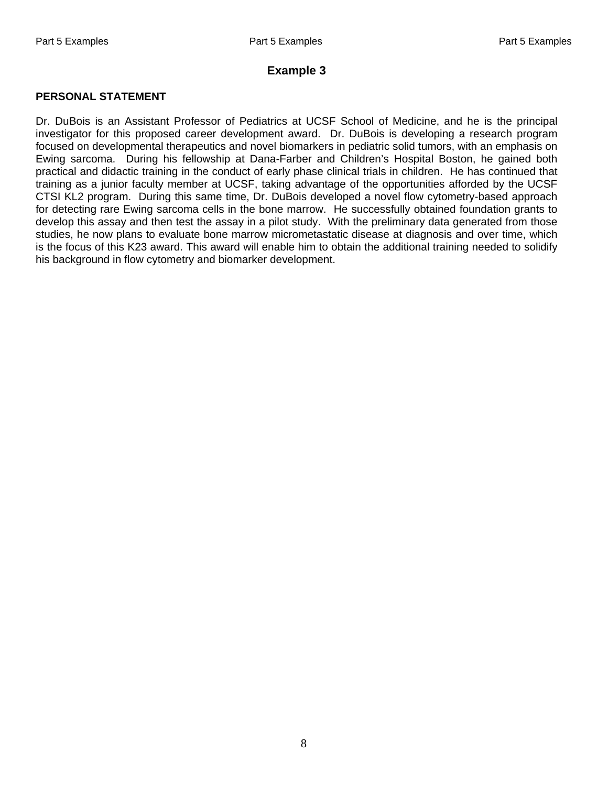#### **Example 3**

#### **PERSONAL STATEMENT**

Dr. DuBois is an Assistant Professor of Pediatrics at UCSF School of Medicine, and he is the principal investigator for this proposed career development award. Dr. DuBois is developing a research program focused on developmental therapeutics and novel biomarkers in pediatric solid tumors, with an emphasis on Ewing sarcoma. During his fellowship at Dana-Farber and Children's Hospital Boston, he gained both practical and didactic training in the conduct of early phase clinical trials in children. He has continued that training as a junior faculty member at UCSF, taking advantage of the opportunities afforded by the UCSF CTSI KL2 program. During this same time, Dr. DuBois developed a novel flow cytometry-based approach for detecting rare Ewing sarcoma cells in the bone marrow. He successfully obtained foundation grants to develop this assay and then test the assay in a pilot study. With the preliminary data generated from those studies, he now plans to evaluate bone marrow micrometastatic disease at diagnosis and over time, which is the focus of this K23 award. This award will enable him to obtain the additional training needed to solidify his background in flow cytometry and biomarker development.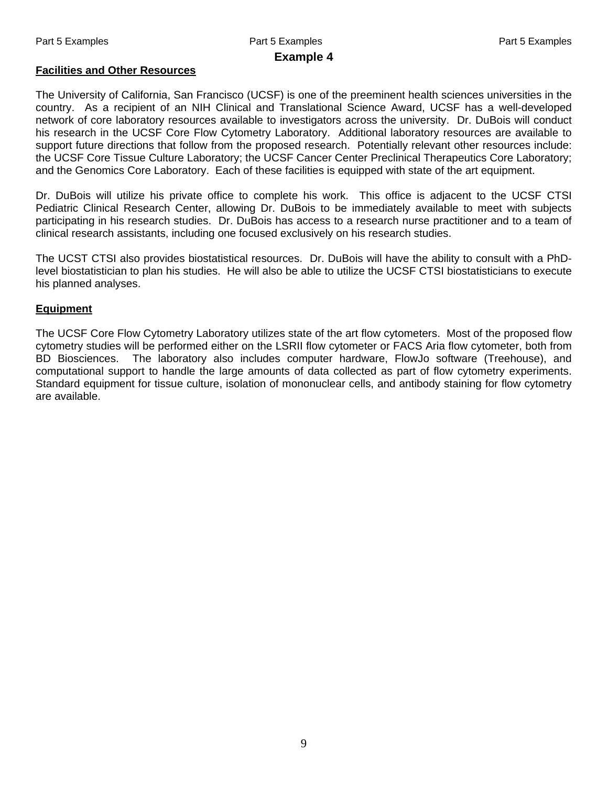# Part 5 Examples **Part 5 Examples** Part 5 Examples **Part 5 Examples** Part 5 Examples

#### **Example 4**

#### **Facilities and Other Resources**

The University of California, San Francisco (UCSF) is one of the preeminent health sciences universities in the country. As a recipient of an NIH Clinical and Translational Science Award, UCSF has a well-developed network of core laboratory resources available to investigators across the university. Dr. DuBois will conduct his research in the UCSF Core Flow Cytometry Laboratory. Additional laboratory resources are available to support future directions that follow from the proposed research. Potentially relevant other resources include: the UCSF Core Tissue Culture Laboratory; the UCSF Cancer Center Preclinical Therapeutics Core Laboratory; and the Genomics Core Laboratory. Each of these facilities is equipped with state of the art equipment.

Dr. DuBois will utilize his private office to complete his work. This office is adjacent to the UCSF CTSI Pediatric Clinical Research Center, allowing Dr. DuBois to be immediately available to meet with subjects participating in his research studies. Dr. DuBois has access to a research nurse practitioner and to a team of clinical research assistants, including one focused exclusively on his research studies.

The UCST CTSI also provides biostatistical resources. Dr. DuBois will have the ability to consult with a PhDlevel biostatistician to plan his studies. He will also be able to utilize the UCSF CTSI biostatisticians to execute his planned analyses.

#### **Equipment**

The UCSF Core Flow Cytometry Laboratory utilizes state of the art flow cytometers. Most of the proposed flow cytometry studies will be performed either on the LSRII flow cytometer or FACS Aria flow cytometer, both from BD Biosciences. The laboratory also includes computer hardware, FlowJo software (Treehouse), and computational support to handle the large amounts of data collected as part of flow cytometry experiments. Standard equipment for tissue culture, isolation of mononuclear cells, and antibody staining for flow cytometry are available.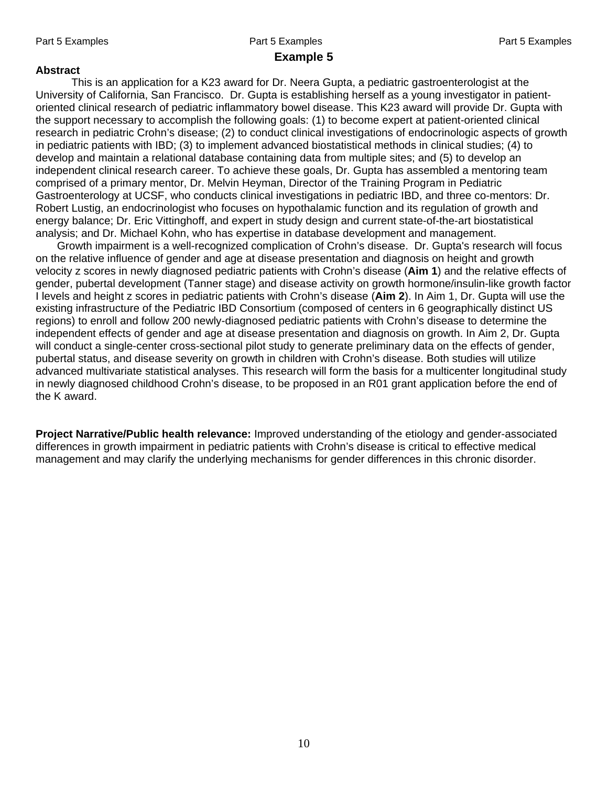### Part 5 Examples **Part 5 Examples** Part 5 Examples **Part 5 Examples** Part 5 Examples **Example 5**

#### **Abstract**

This is an application for a K23 award for Dr. Neera Gupta, a pediatric gastroenterologist at the University of California, San Francisco. Dr. Gupta is establishing herself as a young investigator in patientoriented clinical research of pediatric inflammatory bowel disease. This K23 award will provide Dr. Gupta with the support necessary to accomplish the following goals: (1) to become expert at patient-oriented clinical research in pediatric Crohn's disease; (2) to conduct clinical investigations of endocrinologic aspects of growth in pediatric patients with IBD; (3) to implement advanced biostatistical methods in clinical studies; (4) to develop and maintain a relational database containing data from multiple sites; and (5) to develop an independent clinical research career. To achieve these goals, Dr. Gupta has assembled a mentoring team comprised of a primary mentor, Dr. Melvin Heyman, Director of the Training Program in Pediatric Gastroenterology at UCSF, who conducts clinical investigations in pediatric IBD, and three co-mentors: Dr. Robert Lustig, an endocrinologist who focuses on hypothalamic function and its regulation of growth and energy balance; Dr. Eric Vittinghoff, and expert in study design and current state-of-the-art biostatistical analysis; and Dr. Michael Kohn, who has expertise in database development and management.

 Growth impairment is a well-recognized complication of Crohn's disease. Dr. Gupta's research will focus on the relative influence of gender and age at disease presentation and diagnosis on height and growth velocity z scores in newly diagnosed pediatric patients with Crohn's disease (**Aim 1**) and the relative effects of gender, pubertal development (Tanner stage) and disease activity on growth hormone/insulin-like growth factor I levels and height z scores in pediatric patients with Crohn's disease (**Aim 2**). In Aim 1, Dr. Gupta will use the existing infrastructure of the Pediatric IBD Consortium (composed of centers in 6 geographically distinct US regions) to enroll and follow 200 newly-diagnosed pediatric patients with Crohn's disease to determine the independent effects of gender and age at disease presentation and diagnosis on growth. In Aim 2, Dr. Gupta will conduct a single-center cross-sectional pilot study to generate preliminary data on the effects of gender, pubertal status, and disease severity on growth in children with Crohn's disease. Both studies will utilize advanced multivariate statistical analyses. This research will form the basis for a multicenter longitudinal study in newly diagnosed childhood Crohn's disease, to be proposed in an R01 grant application before the end of the K award.

**Project Narrative/Public health relevance:** Improved understanding of the etiology and gender-associated differences in growth impairment in pediatric patients with Crohn's disease is critical to effective medical management and may clarify the underlying mechanisms for gender differences in this chronic disorder.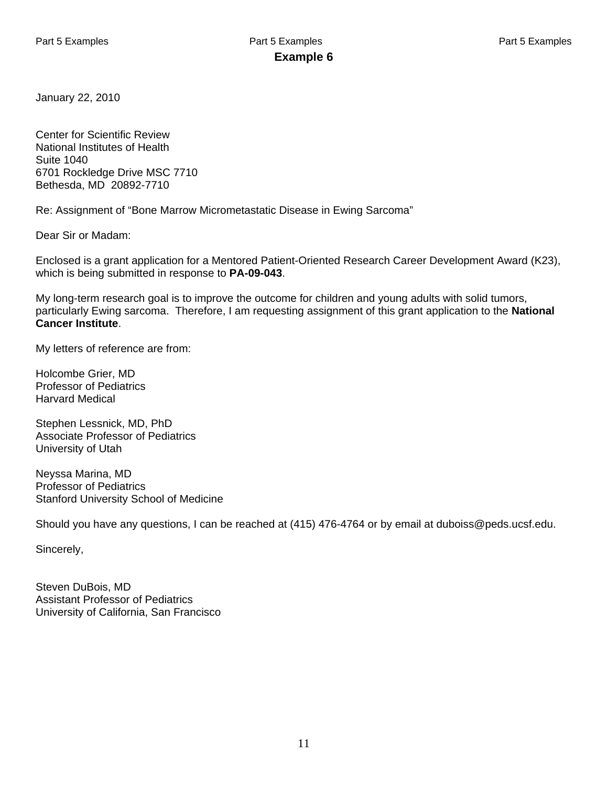January 22, 2010

Center for Scientific Review National Institutes of Health Suite 1040 6701 Rockledge Drive MSC 7710 Bethesda, MD 20892-7710

Re: Assignment of "Bone Marrow Micrometastatic Disease in Ewing Sarcoma"

Dear Sir or Madam:

Enclosed is a grant application for a Mentored Patient-Oriented Research Career Development Award (K23), which is being submitted in response to **PA-09-043**.

My long-term research goal is to improve the outcome for children and young adults with solid tumors, particularly Ewing sarcoma. Therefore, I am requesting assignment of this grant application to the **National Cancer Institute**.

My letters of reference are from:

Holcombe Grier, MD Professor of Pediatrics Harvard Medical

Stephen Lessnick, MD, PhD Associate Professor of Pediatrics University of Utah

Neyssa Marina, MD Professor of Pediatrics Stanford University School of Medicine

Should you have any questions, I can be reached at (415) 476-4764 or by email at duboiss@peds.ucsf.edu.

Sincerely,

Steven DuBois, MD Assistant Professor of Pediatrics University of California, San Francisco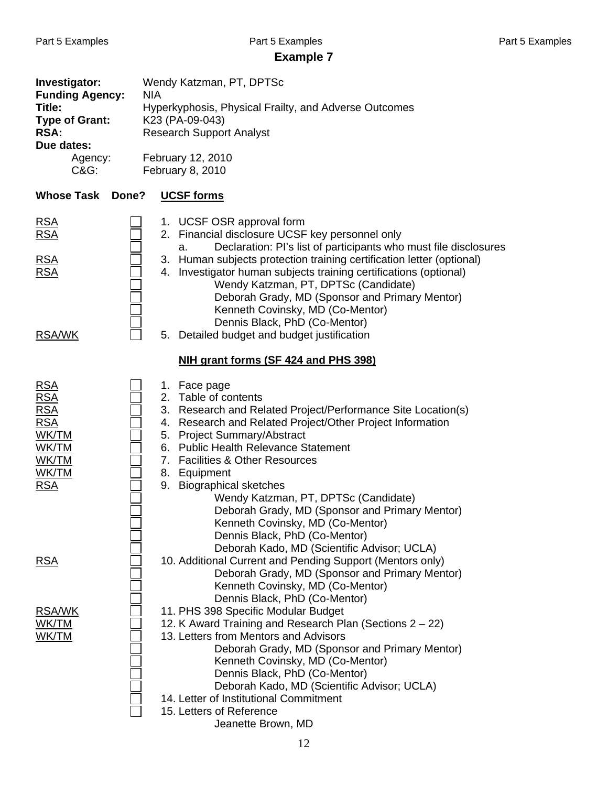## **Example 7**

| Investigator:<br><b>Funding Agency:</b><br>Title:<br><b>Type of Grant:</b><br>RSA:<br>Due dates:<br>Agency:<br>C&G: | <b>NIA</b> | Wendy Katzman, PT, DPTSc<br>Hyperkyphosis, Physical Frailty, and Adverse Outcomes<br>K23 (PA-09-043)<br><b>Research Support Analyst</b><br>February 12, 2010<br>February 8, 2010                                                                                                                                                                                                                                                                                                                                                      |
|---------------------------------------------------------------------------------------------------------------------|------------|---------------------------------------------------------------------------------------------------------------------------------------------------------------------------------------------------------------------------------------------------------------------------------------------------------------------------------------------------------------------------------------------------------------------------------------------------------------------------------------------------------------------------------------|
| <b>Whose Task</b>                                                                                                   | Done?      | <b>UCSF forms</b>                                                                                                                                                                                                                                                                                                                                                                                                                                                                                                                     |
| <u>RSA</u><br><u>RSA</u><br><b>RSA</b><br><u>RSA</u>                                                                |            | 1. UCSF OSR approval form<br>2. Financial disclosure UCSF key personnel only<br>Declaration: PI's list of participants who must file disclosures<br>a.<br>3. Human subjects protection training certification letter (optional)<br>4. Investigator human subjects training certifications (optional)<br>Wendy Katzman, PT, DPTSc (Candidate)<br>Deborah Grady, MD (Sponsor and Primary Mentor)<br>Kenneth Covinsky, MD (Co-Mentor)<br>Dennis Black, PhD (Co-Mentor)                                                                   |
| <b>RSA/WK</b>                                                                                                       |            | Detailed budget and budget justification<br>5.                                                                                                                                                                                                                                                                                                                                                                                                                                                                                        |
|                                                                                                                     |            | NIH grant forms (SF 424 and PHS 398)                                                                                                                                                                                                                                                                                                                                                                                                                                                                                                  |
| <b>RSA</b><br><u>RSA</u><br><u>RSA</u><br><b>RSA</b><br>WK/TM<br>WK/TM<br>WK/TM<br>WK/TM<br><u>RSA</u>              |            | 1. Face page<br>2. Table of contents<br>3. Research and Related Project/Performance Site Location(s)<br>4. Research and Related Project/Other Project Information<br>5. Project Summary/Abstract<br>6. Public Health Relevance Statement<br>7. Facilities & Other Resources<br>8. Equipment<br>9. Biographical sketches<br>Wendy Katzman, PT, DPTSc (Candidate)<br>Deborah Grady, MD (Sponsor and Primary Mentor)<br>Kenneth Covinsky, MD (Co-Mentor)<br>Dennis Black, PhD (Co-Mentor)<br>Deborah Kado, MD (Scientific Advisor; UCLA) |
| <u>RSA</u>                                                                                                          |            | 10. Additional Current and Pending Support (Mentors only)<br>Deborah Grady, MD (Sponsor and Primary Mentor)<br>Kenneth Covinsky, MD (Co-Mentor)<br>Dennis Black, PhD (Co-Mentor)                                                                                                                                                                                                                                                                                                                                                      |
| <b>RSA/WK</b><br><u>WK/TM</u><br><u>WK/TM</u>                                                                       |            | 11. PHS 398 Specific Modular Budget<br>12. K Award Training and Research Plan (Sections 2 – 22)<br>13. Letters from Mentors and Advisors<br>Deborah Grady, MD (Sponsor and Primary Mentor)<br>Kenneth Covinsky, MD (Co-Mentor)<br>Dennis Black, PhD (Co-Mentor)<br>Deborah Kado, MD (Scientific Advisor; UCLA)<br>14. Letter of Institutional Commitment<br>15. Letters of Reference<br>Jeanette Brown, MD                                                                                                                            |